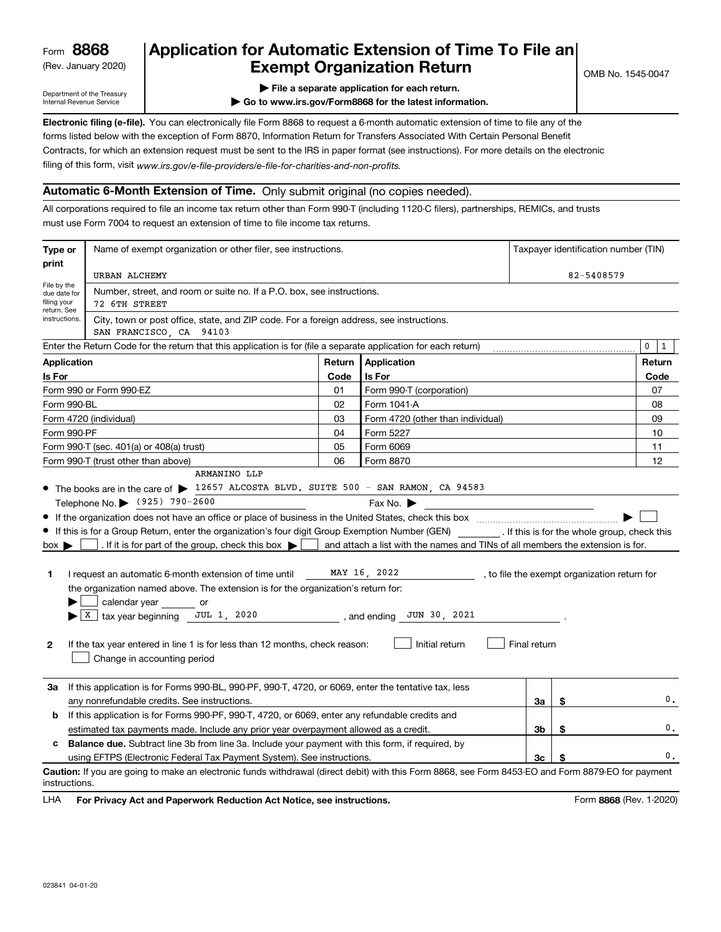(Rev. January 2020)

## **Application for Automatic Extension of Time To File an Exempt Organization Return**

Department of the Treasury Internal Revenue Service

**| File a separate application for each return.**

**| Go to www.irs.gov/Form8868 for the latest information.**

**Electronic filing (e-file).**  You can electronically file Form 8868 to request a 6-month automatic extension of time to file any of the filing of this form, visit www.irs.gov/e-file-providers/e-file-for-charities-and-non-profits. forms listed below with the exception of Form 8870, Information Return for Transfers Associated With Certain Personal Benefit Contracts, for which an extension request must be sent to the IRS in paper format (see instructions). For more details on the electronic

## **Automatic 6-Month Extension of Time.** Only submit original (no copies needed).

All corporations required to file an income tax return other than Form 990-T (including 1120-C filers), partnerships, REMICs, and trusts must use Form 7004 to request an extension of time to file income tax returns.

| Type or                                                                                                         | Name of exempt organization or other filer, see instructions.                                                                                                                                                                                                                                             |        |                                                                                | Taxpayer identification number (TIN) |        |            |  |  |
|-----------------------------------------------------------------------------------------------------------------|-----------------------------------------------------------------------------------------------------------------------------------------------------------------------------------------------------------------------------------------------------------------------------------------------------------|--------|--------------------------------------------------------------------------------|--------------------------------------|--------|------------|--|--|
| print                                                                                                           | URBAN ALCHEMY                                                                                                                                                                                                                                                                                             |        |                                                                                |                                      |        | 82-5408579 |  |  |
| File by the<br>due date for<br>filing your                                                                      | Number, street, and room or suite no. If a P.O. box, see instructions.<br>72 6TH STREET                                                                                                                                                                                                                   |        |                                                                                |                                      |        |            |  |  |
| return. See<br>instructions.                                                                                    | City, town or post office, state, and ZIP code. For a foreign address, see instructions.<br>SAN FRANCISCO, CA 94103                                                                                                                                                                                       |        |                                                                                |                                      |        |            |  |  |
| Enter the Return Code for the return that this application is for (file a separate application for each return) |                                                                                                                                                                                                                                                                                                           |        |                                                                                |                                      |        |            |  |  |
| <b>Application</b>                                                                                              |                                                                                                                                                                                                                                                                                                           | Return | Application                                                                    |                                      | Return |            |  |  |
| Is For                                                                                                          |                                                                                                                                                                                                                                                                                                           |        | Is For                                                                         |                                      |        | Code       |  |  |
| Form 990 or Form 990-EZ                                                                                         |                                                                                                                                                                                                                                                                                                           |        | Form 990-T (corporation)                                                       |                                      |        | 07         |  |  |
| Form 990-BL                                                                                                     |                                                                                                                                                                                                                                                                                                           | 02     | Form 1041-A                                                                    |                                      |        | 08         |  |  |
| Form 4720 (individual)                                                                                          |                                                                                                                                                                                                                                                                                                           |        | Form 4720 (other than individual)                                              |                                      |        | 09         |  |  |
| Form 990-PF                                                                                                     |                                                                                                                                                                                                                                                                                                           | 04     | Form 5227                                                                      |                                      |        | 10         |  |  |
|                                                                                                                 | Form 990-T (sec. 401(a) or 408(a) trust)                                                                                                                                                                                                                                                                  | 05     | Form 6069                                                                      |                                      |        | 11         |  |  |
|                                                                                                                 | Form 990-T (trust other than above)                                                                                                                                                                                                                                                                       | 06     | Form 8870                                                                      |                                      |        | 12         |  |  |
|                                                                                                                 | ARMANINO LLP                                                                                                                                                                                                                                                                                              |        |                                                                                |                                      |        |            |  |  |
|                                                                                                                 | • The books are in the care of > 12657 ALCOSTA BLVD. SUITE 500 - SAN RAMON, CA 94583                                                                                                                                                                                                                      |        |                                                                                |                                      |        |            |  |  |
|                                                                                                                 | Telephone No. (925) 790-2600                                                                                                                                                                                                                                                                              |        | Fax No. $\blacktriangleright$<br><u> 1989 - Johann Barbara, martxa al</u>      |                                      |        |            |  |  |
|                                                                                                                 |                                                                                                                                                                                                                                                                                                           |        |                                                                                |                                      |        |            |  |  |
|                                                                                                                 | • If this is for a Group Return, enter the organization's four digit Group Exemption Number (GEN) [16] If this is for the whole group, check this                                                                                                                                                         |        |                                                                                |                                      |        |            |  |  |
| $box \blacktriangleright$                                                                                       | . If it is for part of the group, check this box $\blacktriangleright$                                                                                                                                                                                                                                    |        | and attach a list with the names and TINs of all members the extension is for. |                                      |        |            |  |  |
| 1                                                                                                               | MAY 16, 2022<br>I request an automatic 6-month extension of time until<br>, to file the exempt organization return for<br>the organization named above. The extension is for the organization's return for:<br>calendar year or<br>$X$ tax year beginning JUL 1, 2020<br>$\sim$ , and ending JUN 30, 2021 |        |                                                                                |                                      |        |            |  |  |
| $\mathbf{2}$                                                                                                    | Initial return<br>Final return<br>If the tax year entered in line 1 is for less than 12 months, check reason:<br>Change in accounting period                                                                                                                                                              |        |                                                                                |                                      |        |            |  |  |
| За                                                                                                              | If this application is for Forms 990-BL, 990-PF, 990-T, 4720, or 6069, enter the tentative tax, less                                                                                                                                                                                                      |        |                                                                                |                                      |        |            |  |  |
|                                                                                                                 | any nonrefundable credits. See instructions.                                                                                                                                                                                                                                                              |        |                                                                                | За                                   | \$     | 0.         |  |  |
| b                                                                                                               | If this application is for Forms 990-PF, 990-T, 4720, or 6069, enter any refundable credits and                                                                                                                                                                                                           |        |                                                                                |                                      |        |            |  |  |
|                                                                                                                 | estimated tax payments made. Include any prior year overpayment allowed as a credit.                                                                                                                                                                                                                      |        |                                                                                |                                      | \$     | 0.         |  |  |
| c                                                                                                               | 3b<br>Balance due. Subtract line 3b from line 3a. Include your payment with this form, if required, by                                                                                                                                                                                                    |        |                                                                                |                                      |        |            |  |  |
|                                                                                                                 | using EFTPS (Electronic Federal Tax Payment System). See instructions.                                                                                                                                                                                                                                    |        |                                                                                | Зc                                   | S      | 0.         |  |  |
| instructions.                                                                                                   | Caution: If you are going to make an electronic funds withdrawal (direct debit) with this Form 8868, see Form 8453-EO and Form 8879-EO for payment                                                                                                                                                        |        |                                                                                |                                      |        |            |  |  |

**HA** For Privacy Act and Paperwork Reduction Act Notice, see instructions. **But a struction of the Constantion Constant** Form 8868 (Rev. 1-2020) LHA